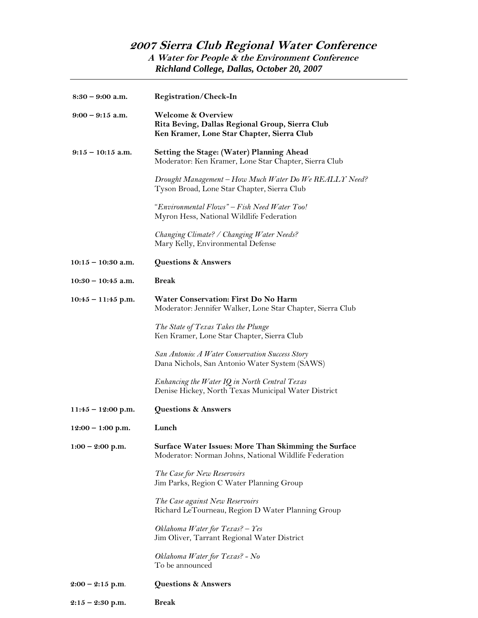## **2007 Sierra Club Regional Water Conference A Water for People & the Environment Conference** *Richland College, Dallas, October 20, 2007*

| $8:30 - 9:00$ a.m.   | <b>Registration/Check-In</b>                                                                                                   |
|----------------------|--------------------------------------------------------------------------------------------------------------------------------|
| $9:00 - 9:15$ a.m.   | <b>Welcome &amp; Overview</b><br>Rita Beving, Dallas Regional Group, Sierra Club<br>Ken Kramer, Lone Star Chapter, Sierra Club |
| $9:15-10:15$ a.m.    | <b>Setting the Stage: (Water) Planning Ahead</b><br>Moderator: Ken Kramer, Lone Star Chapter, Sierra Club                      |
|                      | Drought Management – How Much Water Do We REALLY Need?<br>Tyson Broad, Lone Star Chapter, Sierra Club                          |
|                      | "Environmental Flows" - Fish Need Water Too!<br>Myron Hess, National Wildlife Federation                                       |
|                      | Changing Climate? / Changing Water Needs?<br>Mary Kelly, Environmental Defense                                                 |
| $10:15 - 10:30$ a.m. | Questions & Answers                                                                                                            |
| $10:30 - 10:45$ a.m. | <b>Break</b>                                                                                                                   |
| $10:45 - 11:45$ p.m. | Water Conservation: First Do No Harm<br>Moderator: Jennifer Walker, Lone Star Chapter, Sierra Club                             |
|                      | The State of Texas Takes the Plunge<br>Ken Kramer, Lone Star Chapter, Sierra Club                                              |
|                      | San Antonio: A Water Conservation Success Story<br>Dana Nichols, San Antonio Water System (SAWS)                               |
|                      | Enhancing the Water IQ in North Central Texas<br>Denise Hickey, North Texas Municipal Water District                           |
| $11:45 - 12:00$ p.m. | Questions & Answers                                                                                                            |
| $12:00 - 1:00$ p.m.  | Lunch                                                                                                                          |
| $1:00 - 2:00$ p.m.   | Surface Water Issues: More Than Skimming the Surface<br>Moderator: Norman Johns, National Wildlife Federation                  |
|                      | The Case for New Reservoirs<br>Jim Parks, Region C Water Planning Group                                                        |
|                      | The Case against New Reservoirs<br>Richard LeTourneau, Region D Water Planning Group                                           |
|                      | Oklahoma Water for Texas? $-$ Yes<br>Jim Oliver, Tarrant Regional Water District                                               |
|                      | Oklahoma Water for Texas? - No<br>To be announced                                                                              |
| $2:00 - 2:15$ p.m.   | Questions & Answers                                                                                                            |
| $2:15 - 2:30$ p.m.   | <b>Break</b>                                                                                                                   |